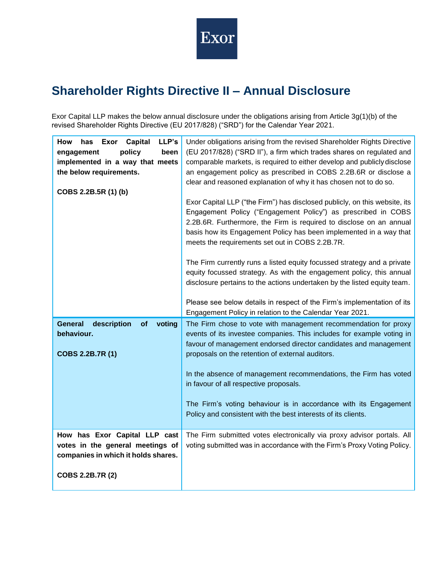

## **Shareholder Rights Directive II – Annual Disclosure**

Exor Capital LLP makes the below annual disclosure under the obligations arising from Article 3g(1)(b) of the revised Shareholder Rights Directive (EU 2017/828) ("SRD") for the Calendar Year 2021.

| LLP's<br>How<br><b>Capital</b><br>has<br>Exor<br>policy<br>been<br>engagement<br>implemented in a way that meets<br>the below requirements.<br>COBS 2.2B.5R (1) (b) | Under obligations arising from the revised Shareholder Rights Directive<br>(EU 2017/828) ("SRD II"), a firm which trades shares on regulated and<br>comparable markets, is required to either develop and publicly disclose<br>an engagement policy as prescribed in COBS 2.2B.6R or disclose a<br>clear and reasoned explanation of why it has chosen not to do so.<br>Exor Capital LLP ("the Firm") has disclosed publicly, on this website, its<br>Engagement Policy ("Engagement Policy") as prescribed in COBS<br>2.2B.6R. Furthermore, the Firm is required to disclose on an annual<br>basis how its Engagement Policy has been implemented in a way that<br>meets the requirements set out in COBS 2.2B.7R.<br>The Firm currently runs a listed equity focussed strategy and a private |
|---------------------------------------------------------------------------------------------------------------------------------------------------------------------|------------------------------------------------------------------------------------------------------------------------------------------------------------------------------------------------------------------------------------------------------------------------------------------------------------------------------------------------------------------------------------------------------------------------------------------------------------------------------------------------------------------------------------------------------------------------------------------------------------------------------------------------------------------------------------------------------------------------------------------------------------------------------------------------|
|                                                                                                                                                                     | equity focussed strategy. As with the engagement policy, this annual<br>disclosure pertains to the actions undertaken by the listed equity team.<br>Please see below details in respect of the Firm's implementation of its<br>Engagement Policy in relation to the Calendar Year 2021.                                                                                                                                                                                                                                                                                                                                                                                                                                                                                                        |
| <b>General</b><br>description<br>of<br>voting<br>behaviour.<br>COBS 2.2B.7R (1)                                                                                     | The Firm chose to vote with management recommendation for proxy<br>events of its investee companies. This includes for example voting in<br>favour of management endorsed director candidates and management<br>proposals on the retention of external auditors.                                                                                                                                                                                                                                                                                                                                                                                                                                                                                                                               |
|                                                                                                                                                                     | In the absence of management recommendations, the Firm has voted<br>in favour of all respective proposals.                                                                                                                                                                                                                                                                                                                                                                                                                                                                                                                                                                                                                                                                                     |
|                                                                                                                                                                     | The Firm's voting behaviour is in accordance with its Engagement<br>Policy and consistent with the best interests of its clients.                                                                                                                                                                                                                                                                                                                                                                                                                                                                                                                                                                                                                                                              |
| How has Exor Capital LLP cast<br>votes in the general meetings of<br>companies in which it holds shares.                                                            | The Firm submitted votes electronically via proxy advisor portals. All<br>voting submitted was in accordance with the Firm's Proxy Voting Policy.                                                                                                                                                                                                                                                                                                                                                                                                                                                                                                                                                                                                                                              |
| COBS 2.2B.7R (2)                                                                                                                                                    |                                                                                                                                                                                                                                                                                                                                                                                                                                                                                                                                                                                                                                                                                                                                                                                                |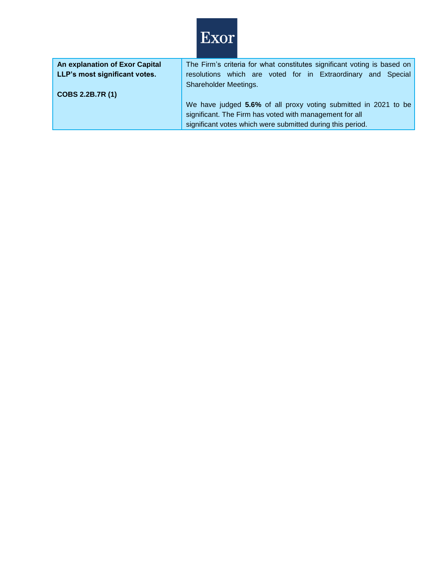

| An explanation of Exor Capital | The Firm's criteria for what constitutes significant voting is based on |
|--------------------------------|-------------------------------------------------------------------------|
| LLP's most significant votes.  | resolutions which are voted for in Extraordinary and Special            |
|                                | Shareholder Meetings.                                                   |
| COBS 2.2B.7R (1)               |                                                                         |
|                                | We have judged 5.6% of all proxy voting submitted in 2021 to be         |
|                                | significant. The Firm has voted with management for all                 |
|                                | significant votes which were submitted during this period.              |